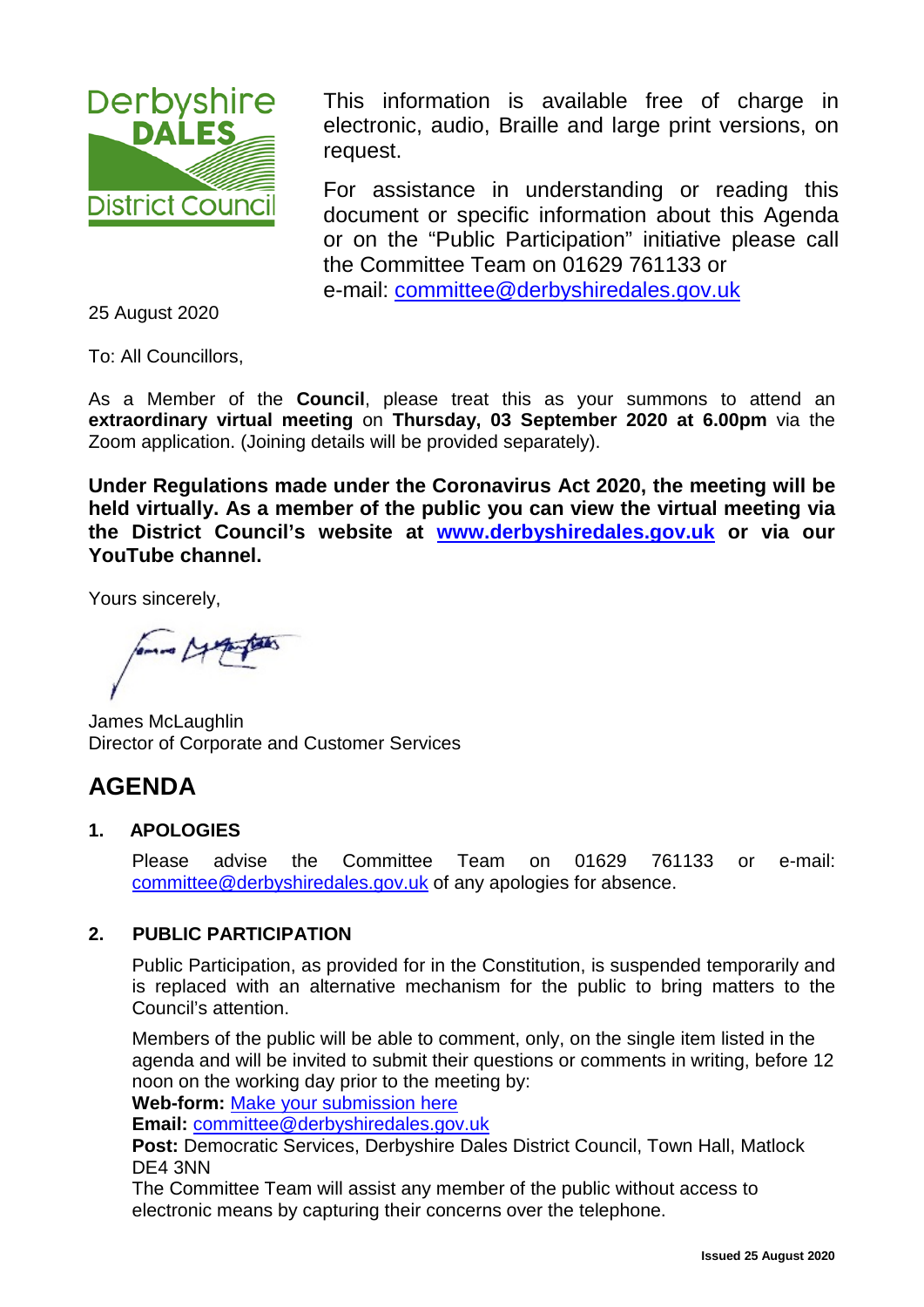

This information is available free of charge in electronic, audio, Braille and large print versions, on request.

For assistance in understanding or reading this document or specific information about this Agenda or on the "Public Participation" initiative please call the Committee Team on 01629 761133 or e-mail: [committee@derbyshiredales.gov.uk](mailto:committee@derbyshiredales.gov.uk)

25 August 2020

To: All Councillors,

As a Member of the **Council**, please treat this as your summons to attend an **extraordinary virtual meeting** on **Thursday, 03 September 2020 at 6.00pm** via the Zoom application. (Joining details will be provided separately).

**Under Regulations made under the Coronavirus Act 2020, the meeting will be held virtually. As a member of the public you can view the virtual meeting via the District Council's website at [www.derbyshiredales.gov.uk](http://www.derbyshiredales.gov.uk/) or via our YouTube channel.**

Yours sincerely,

James McLaughlin Director of Corporate and Customer Services

# **AGENDA**

# **1. APOLOGIES**

Please advise the Committee Team on 01629 761133 or e-mail: [committee@derbyshiredales.gov.uk](mailto:committee@derbyshiredales.gov.uk) of any apologies for absence.

# **2. PUBLIC PARTICIPATION**

Public Participation, as provided for in the Constitution, is suspended temporarily and is replaced with an alternative mechanism for the public to bring matters to the Council's attention.

Members of the public will be able to comment, only, on the single item listed in the agenda and will be invited to submit their questions or comments in writing, before 12 noon on the working day prior to the meeting by:

**Web-form:** [Make your submission here](https://selfserve.derbyshiredales.gov.uk/renderform.aspx?t=44&k=FD9C9FA7E89B415C3D4899DDD5D88649E55277F1)

**Email:** [committee@derbyshiredales.gov.uk](mailto:committee@derbyshiredales.gov.uk)

**Post:** Democratic Services, Derbyshire Dales District Council, Town Hall, Matlock DE4 3NN

The Committee Team will assist any member of the public without access to electronic means by capturing their concerns over the telephone.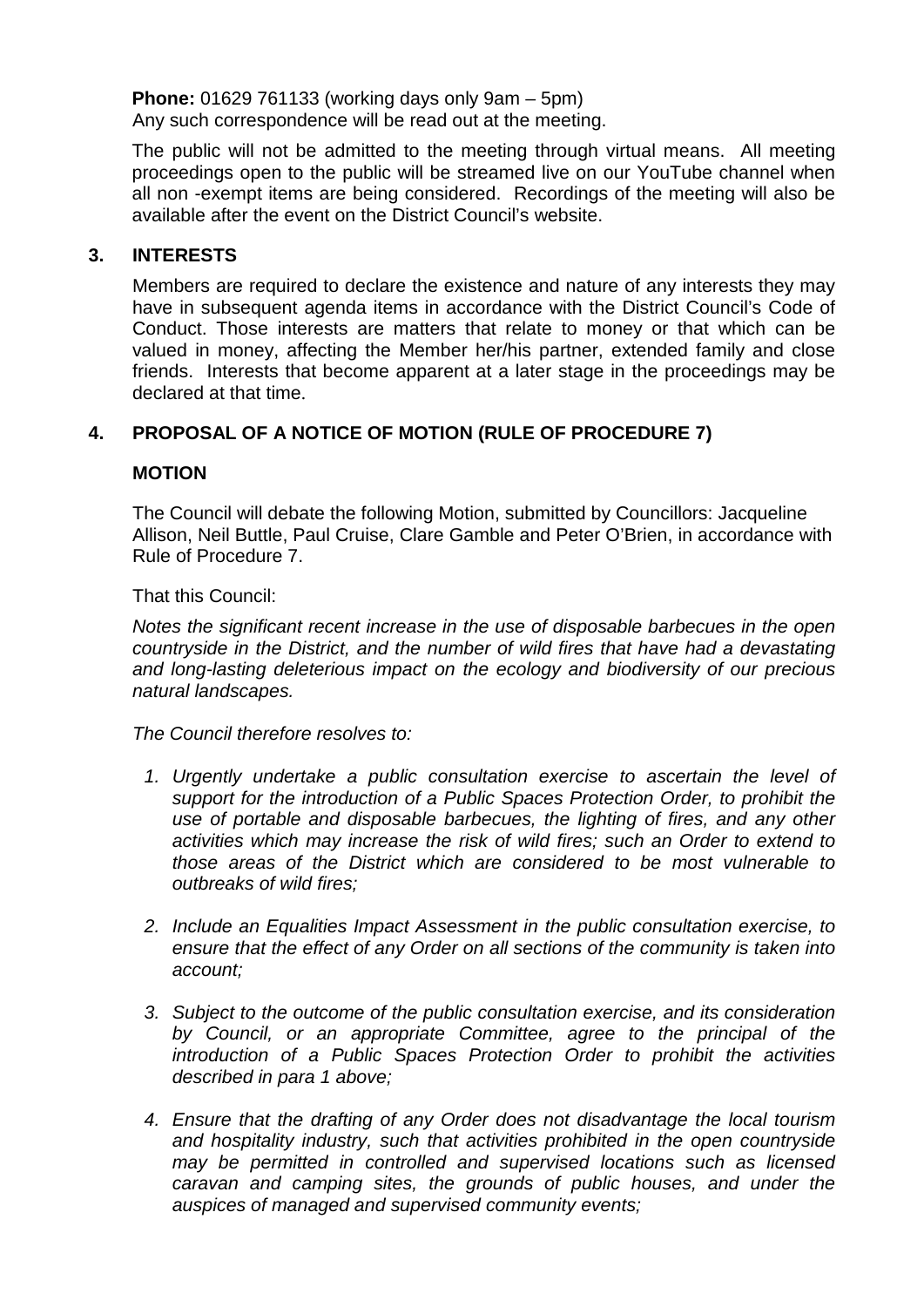**Phone:** 01629 761133 (working days only 9am – 5pm) Any such correspondence will be read out at the meeting.

The public will not be admitted to the meeting through virtual means. All meeting proceedings open to the public will be streamed live on our YouTube channel when all non -exempt items are being considered. Recordings of the meeting will also be available after the event on the District Council's website.

#### **3. INTERESTS**

Members are required to declare the existence and nature of any interests they may have in subsequent agenda items in accordance with the District Council's Code of Conduct. Those interests are matters that relate to money or that which can be valued in money, affecting the Member her/his partner, extended family and close friends. Interests that become apparent at a later stage in the proceedings may be declared at that time.

# **4. PROPOSAL OF A NOTICE OF MOTION (RULE OF PROCEDURE 7)**

#### **MOTION**

The Council will debate the following Motion, submitted by Councillors: Jacqueline Allison, Neil Buttle, Paul Cruise, Clare Gamble and Peter O'Brien, in accordance with Rule of Procedure 7.

That this Council:

*Notes the significant recent increase in the use of disposable barbecues in the open countryside in the District, and the number of wild fires that have had a devastating and long-lasting deleterious impact on the ecology and biodiversity of our precious natural landscapes.* 

*The Council therefore resolves to:* 

- *1. Urgently undertake a public consultation exercise to ascertain the level of support for the introduction of a Public Spaces Protection Order, to prohibit the use of portable and disposable barbecues, the lighting of fires, and any other activities which may increase the risk of wild fires; such an Order to extend to those areas of the District which are considered to be most vulnerable to outbreaks of wild fires;*
- *2. Include an Equalities Impact Assessment in the public consultation exercise, to ensure that the effect of any Order on all sections of the community is taken into account;*
- *3. Subject to the outcome of the public consultation exercise, and its consideration by Council, or an appropriate Committee, agree to the principal of the introduction of a Public Spaces Protection Order to prohibit the activities described in para 1 above;*
- *4. Ensure that the drafting of any Order does not disadvantage the local tourism and hospitality industry, such that activities prohibited in the open countryside may be permitted in controlled and supervised locations such as licensed caravan and camping sites, the grounds of public houses, and under the auspices of managed and supervised community events;*